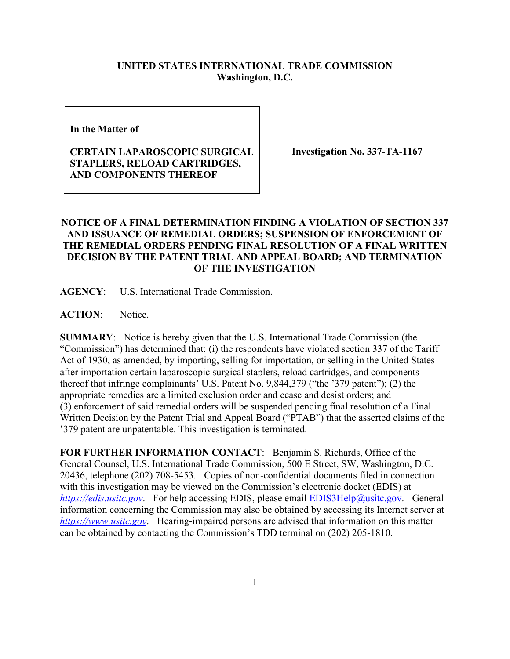## **UNITED STATES INTERNATIONAL TRADE COMMISSION Washington, D.C.**

**In the Matter of** 

## **CERTAIN LAPAROSCOPIC SURGICAL STAPLERS, RELOAD CARTRIDGES, AND COMPONENTS THEREOF**

**Investigation No. 337-TA-1167**

## **NOTICE OF A FINAL DETERMINATION FINDING A VIOLATION OF SECTION 337 AND ISSUANCE OF REMEDIAL ORDERS; SUSPENSION OF ENFORCEMENT OF THE REMEDIAL ORDERS PENDING FINAL RESOLUTION OF A FINAL WRITTEN DECISION BY THE PATENT TRIAL AND APPEAL BOARD; AND TERMINATION OF THE INVESTIGATION**

**AGENCY**: U.S. International Trade Commission.

**ACTION**: Notice.

**SUMMARY**: Notice is hereby given that the U.S. International Trade Commission (the "Commission") has determined that: (i) the respondents have violated section 337 of the Tariff Act of 1930, as amended, by importing, selling for importation, or selling in the United States after importation certain laparoscopic surgical staplers, reload cartridges, and components thereof that infringe complainants' U.S. Patent No. 9,844,379 ("the '379 patent"); (2) the appropriate remedies are a limited exclusion order and cease and desist orders; and (3) enforcement of said remedial orders will be suspended pending final resolution of a Final Written Decision by the Patent Trial and Appeal Board ("PTAB") that the asserted claims of the '379 patent are unpatentable. This investigation is terminated.

**FOR FURTHER INFORMATION CONTACT**: Benjamin S. Richards, Office of the General Counsel, U.S. International Trade Commission, 500 E Street, SW, Washington, D.C. 20436, telephone (202) 708-5453. Copies of non-confidential documents filed in connection with this investigation may be viewed on the Commission's electronic docket (EDIS) at *[https://edis.usitc.gov](https://edis.usitc.gov/)*. For help accessing EDIS, please email [EDIS3Help@usitc.gov.](mailto:EDIS3Help@usitc.gov) General information concerning the Commission may also be obtained by accessing its Internet server at *[https://www.usitc.gov](https://www.usitc.gov/)*. Hearing-impaired persons are advised that information on this matter can be obtained by contacting the Commission's TDD terminal on (202) 205-1810.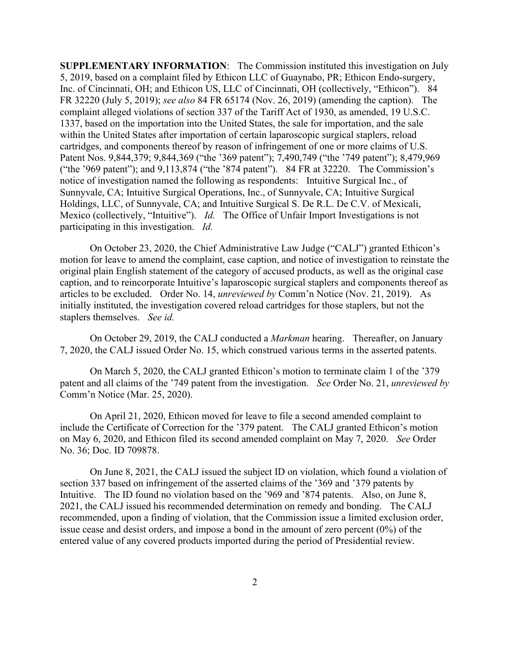**SUPPLEMENTARY INFORMATION**: The Commission instituted this investigation on July 5, 2019, based on a complaint filed by Ethicon LLC of Guaynabo, PR; Ethicon Endo-surgery, Inc. of Cincinnati, OH; and Ethicon US, LLC of Cincinnati, OH (collectively, "Ethicon"). 84 FR 32220 (July 5, 2019); *see also* 84 FR 65174 (Nov. 26, 2019) (amending the caption). The complaint alleged violations of section 337 of the Tariff Act of 1930, as amended, 19 U.S.C. 1337, based on the importation into the United States, the sale for importation, and the sale within the United States after importation of certain laparoscopic surgical staplers, reload cartridges, and components thereof by reason of infringement of one or more claims of U.S. Patent Nos. 9,844,379; 9,844,369 ("the '369 patent"); 7,490,749 ("the '749 patent"); 8,479,969 ("the '969 patent"); and 9,113,874 ("the '874 patent"). 84 FR at 32220. The Commission's notice of investigation named the following as respondents: Intuitive Surgical Inc., of Sunnyvale, CA; Intuitive Surgical Operations, Inc., of Sunnyvale, CA; Intuitive Surgical Holdings, LLC, of Sunnyvale, CA; and Intuitive Surgical S. De R.L. De C.V. of Mexicali, Mexico (collectively, "Intuitive"). *Id.* The Office of Unfair Import Investigations is not participating in this investigation. *Id.*

On October 23, 2020, the Chief Administrative Law Judge ("CALJ") granted Ethicon's motion for leave to amend the complaint, case caption, and notice of investigation to reinstate the original plain English statement of the category of accused products, as well as the original case caption, and to reincorporate Intuitive's laparoscopic surgical staplers and components thereof as articles to be excluded. Order No. 14, *unreviewed by* Comm'n Notice (Nov. 21, 2019). As initially instituted, the investigation covered reload cartridges for those staplers, but not the staplers themselves. *See id.*

On October 29, 2019, the CALJ conducted a *Markman* hearing. Thereafter, on January 7, 2020, the CALJ issued Order No. 15, which construed various terms in the asserted patents.

On March 5, 2020, the CALJ granted Ethicon's motion to terminate claim 1 of the '379 patent and all claims of the '749 patent from the investigation. *See* Order No. 21, *unreviewed by* Comm'n Notice (Mar. 25, 2020).

On April 21, 2020, Ethicon moved for leave to file a second amended complaint to include the Certificate of Correction for the '379 patent. The CALJ granted Ethicon's motion on May 6, 2020, and Ethicon filed its second amended complaint on May 7, 2020. *See* Order No. 36; Doc. ID 709878.

On June 8, 2021, the CALJ issued the subject ID on violation, which found a violation of section 337 based on infringement of the asserted claims of the '369 and '379 patents by Intuitive. The ID found no violation based on the '969 and '874 patents. Also, on June 8, 2021, the CALJ issued his recommended determination on remedy and bonding. The CALJ recommended, upon a finding of violation, that the Commission issue a limited exclusion order, issue cease and desist orders, and impose a bond in the amount of zero percent (0%) of the entered value of any covered products imported during the period of Presidential review.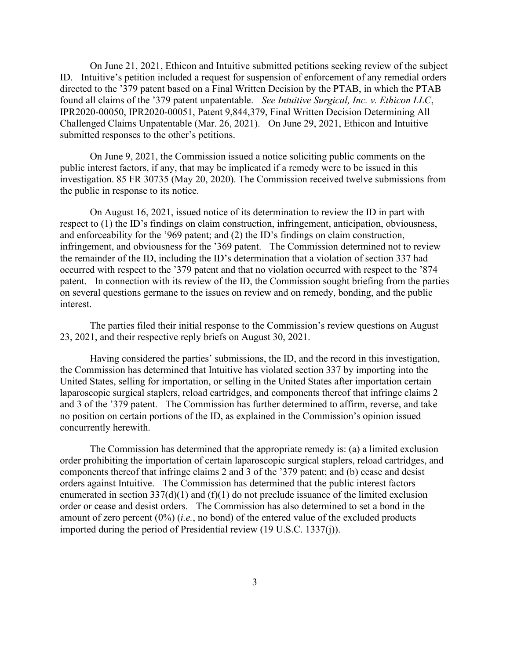On June 21, 2021, Ethicon and Intuitive submitted petitions seeking review of the subject ID. Intuitive's petition included a request for suspension of enforcement of any remedial orders directed to the '379 patent based on a Final Written Decision by the PTAB, in which the PTAB found all claims of the '379 patent unpatentable. *See Intuitive Surgical, Inc. v. Ethicon LLC*, IPR2020-00050, IPR2020-00051, Patent 9,844,379, Final Written Decision Determining All Challenged Claims Unpatentable (Mar. 26, 2021). On June 29, 2021, Ethicon and Intuitive submitted responses to the other's petitions.

On June 9, 2021, the Commission issued a notice soliciting public comments on the public interest factors, if any, that may be implicated if a remedy were to be issued in this investigation. 85 FR 30735 (May 20, 2020). The Commission received twelve submissions from the public in response to its notice.

On August 16, 2021, issued notice of its determination to review the ID in part with respect to (1) the ID's findings on claim construction, infringement, anticipation, obviousness, and enforceability for the '969 patent; and (2) the ID's findings on claim construction, infringement, and obviousness for the '369 patent. The Commission determined not to review the remainder of the ID, including the ID's determination that a violation of section 337 had occurred with respect to the '379 patent and that no violation occurred with respect to the '874 patent. In connection with its review of the ID, the Commission sought briefing from the parties on several questions germane to the issues on review and on remedy, bonding, and the public interest.

The parties filed their initial response to the Commission's review questions on August 23, 2021, and their respective reply briefs on August 30, 2021.

Having considered the parties' submissions, the ID, and the record in this investigation, the Commission has determined that Intuitive has violated section 337 by importing into the United States, selling for importation, or selling in the United States after importation certain laparoscopic surgical staplers, reload cartridges, and components thereof that infringe claims 2 and 3 of the '379 patent. The Commission has further determined to affirm, reverse, and take no position on certain portions of the ID, as explained in the Commission's opinion issued concurrently herewith.

The Commission has determined that the appropriate remedy is: (a) a limited exclusion order prohibiting the importation of certain laparoscopic surgical staplers, reload cartridges, and components thereof that infringe claims 2 and 3 of the '379 patent; and (b) cease and desist orders against Intuitive. The Commission has determined that the public interest factors enumerated in section  $337(d)(1)$  and  $(f)(1)$  do not preclude issuance of the limited exclusion order or cease and desist orders. The Commission has also determined to set a bond in the amount of zero percent (0%) (*i.e.*, no bond) of the entered value of the excluded products imported during the period of Presidential review (19 U.S.C. 1337(j)).